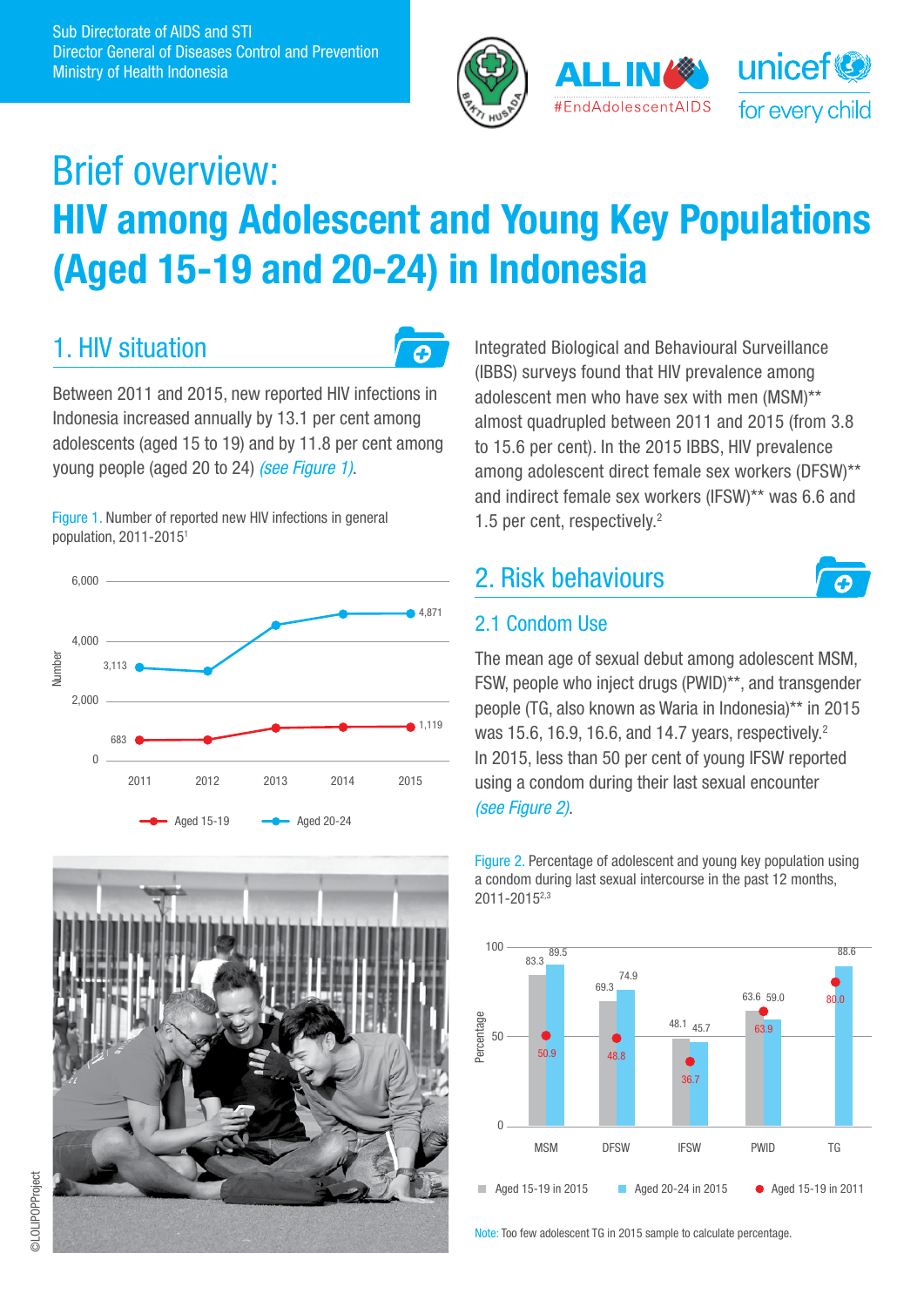



# Brief overview: HIV among Adolescent and Young Key Populations (Aged 15-19 and 20-24) in Indonesia

## 1. HIV situation



Between 2011 and 2015, new reported HIV infections in Indonesia increased annually by 13.1 per cent among adolescents (aged 15 to 19) and by 11.8 per cent among young people (aged 20 to 24) *(see Figure 1)*.

Figure 1. Number of reported new HIV infections in general population, 2011-20151





Integrated Biological and Behavioural Surveillance (IBBS) surveys found that HIV prevalence among adolescent men who have sex with men (MSM)\*\* almost quadrupled between 2011 and 2015 (from 3.8 to 15.6 per cent). In the 2015 IBBS, HIV prevalence among adolescent direct female sex workers (DFSW)\*\* and indirect female sex workers (IFSW)\*\* was 6.6 and 1.5 per cent, respectively.2

## 2. Risk behaviours



### 2.1 Condom Use

The mean age of sexual debut among adolescent MSM, FSW, people who inject drugs (PWID)\*\*, and transgender people (TG, also known as Waria in Indonesia)\*\* in 2015 was 15.6, 16.9, 16.6, and 14.7 years, respectively.<sup>2</sup> In 2015, less than 50 per cent of young IFSW reported using a condom during their last sexual encounter *(see Figure 2)*.

Figure 2. Percentage of adolescent and young key population using a condom during last sexual intercourse in the past 12 months, 2011-20152,3



Note: Too few adolescent TG in 2015 sample to calculate percentage.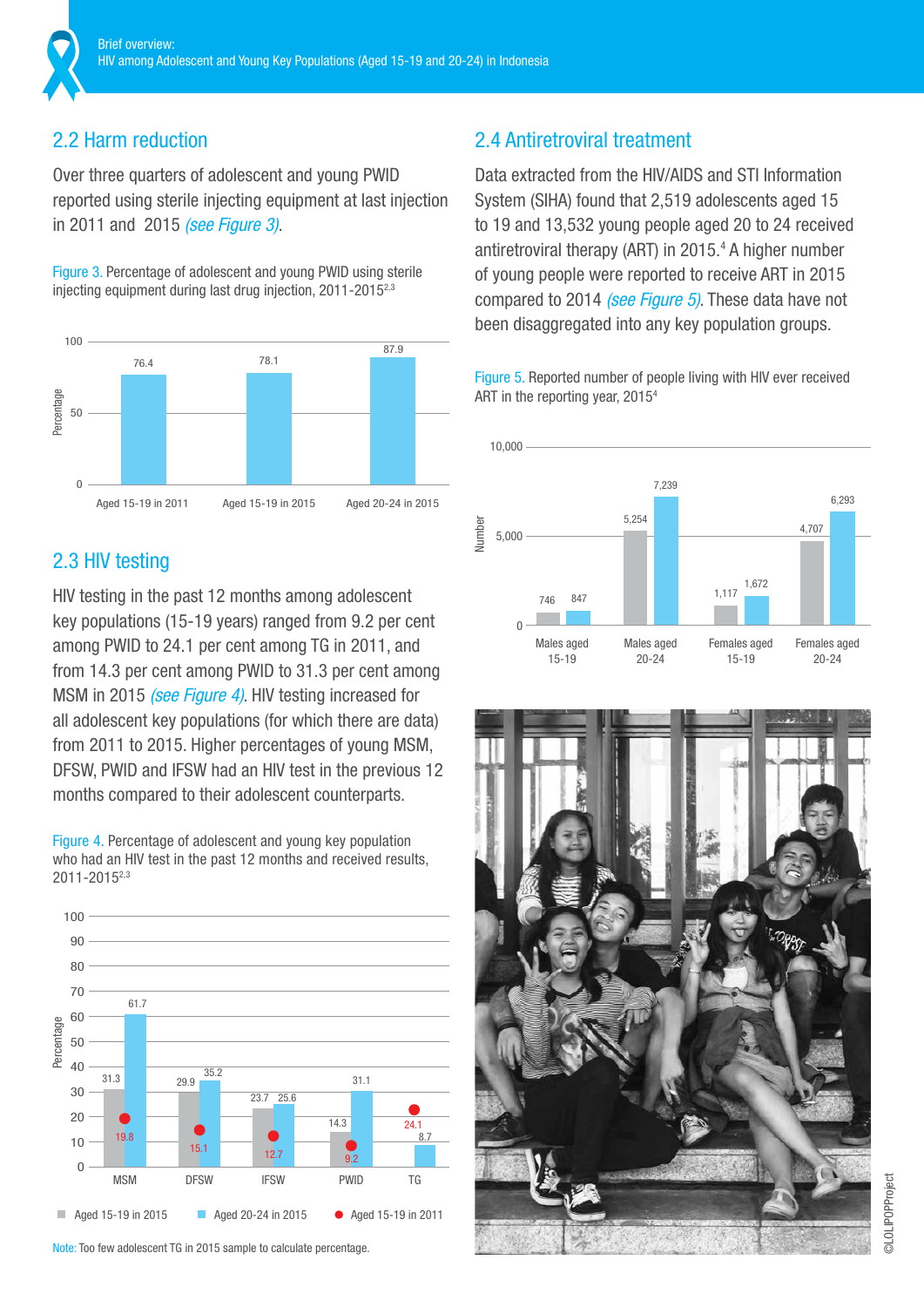### 2.2 Harm reduction

Over three quarters of adolescent and young PWID reported using sterile injecting equipment at last injection in 2011 and 2015 *(see Figure 3)*.

Figure 3. Percentage of adolescent and young PWID using sterile injecting equipment during last drug injection, 2011-2015<sup>2,3</sup>



### 2.3 HIV testing

HIV testing in the past 12 months among adolescent key populations (15-19 years) ranged from 9.2 per cent among PWID to 24.1 per cent among TG in 2011, and from 14.3 per cent among PWID to 31.3 per cent among MSM in 2015 *(see Figure 4)*. HIV testing increased for all adolescent key populations (for which there are data) from 2011 to 2015. Higher percentages of young MSM, DFSW, PWID and IFSW had an HIV test in the previous 12 months compared to their adolescent counterparts.

Figure 4. Percentage of adolescent and young key population who had an HIV test in the past 12 months and received results, 2011-20152,3



Note: Too few adolescent TG in 2015 sample to calculate percentage.

### 2.4 Antiretroviral treatment

Data extracted from the HIV/AIDS and STI Information System (SIHA) found that 2,519 adolescents aged 15 to 19 and 13,532 young people aged 20 to 24 received antiretroviral therapy (ART) in 2015.4 A higher number of young people were reported to receive ART in 2015 compared to 2014 *(see Figure 5)*. These data have not been disaggregated into any key population groups.

Figure 5. Reported number of people living with HIV ever received ART in the reporting year, 20154



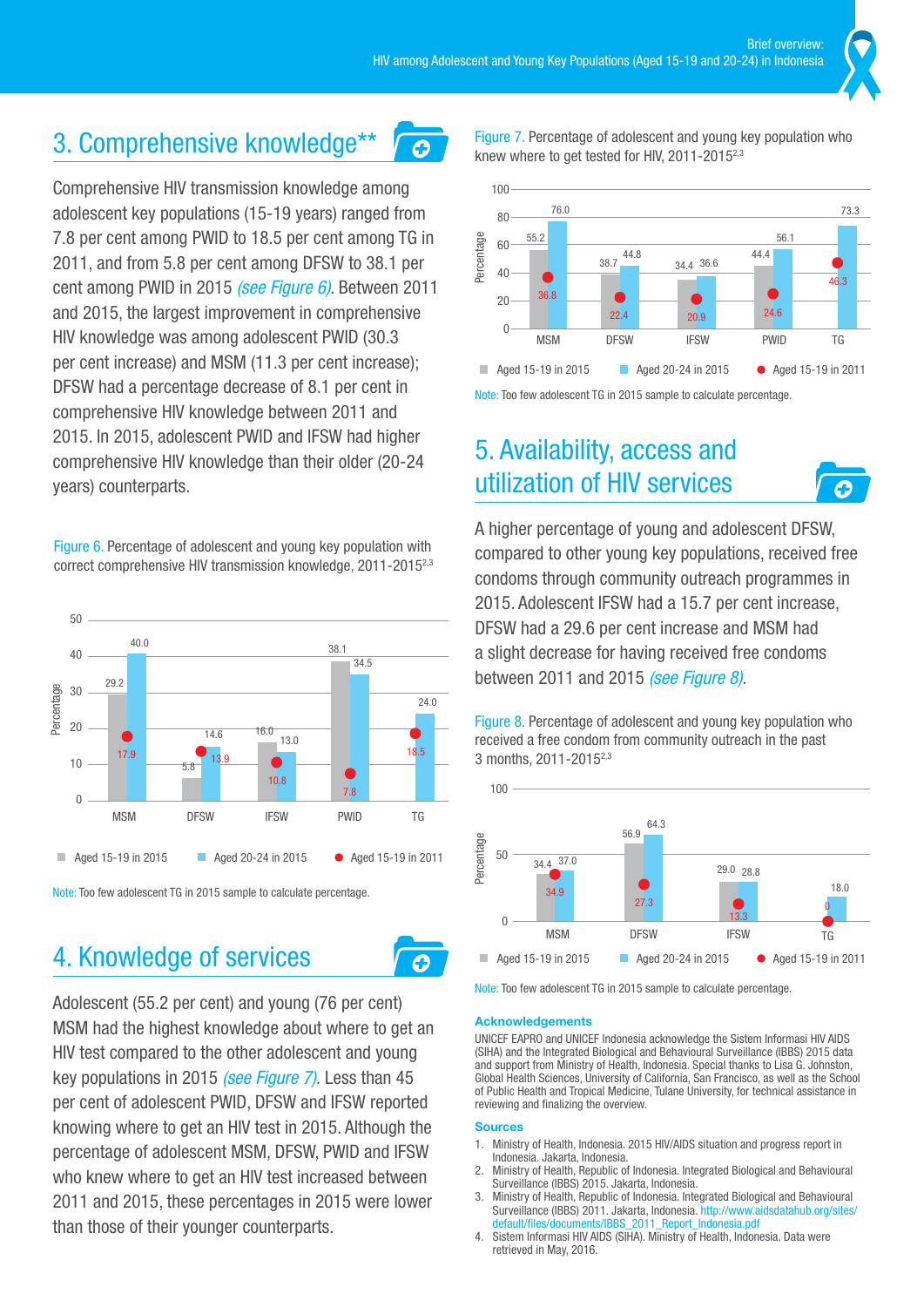$\overline{\boldsymbol{\sigma}}$ 

## 3. Comprehensive knowledge\*\*

Comprehensive HIV transmission knowledge among adolescent key populations (15-19 years) ranged from 7.8 per cent among PWID to 18.5 per cent among TG in 2011, and from 5.8 per cent among DFSW to 38.1 per cent among PWID in 2015 *(see Figure 6)*. Between 2011 and 2015, the largest improvement in comprehensive HIV knowledge was among adolescent PWID (30.3 per cent increase) and MSM (11.3 per cent increase); DFSW had a percentage decrease of 8.1 per cent in comprehensive HIV knowledge between 2011 and 2015. In 2015, adolescent PWID and IFSW had higher comprehensive HIV knowledge than their older (20-24 years) counterparts.

Figure 6. Percentage of adolescent and young key population with correct comprehensive HIV transmission knowledge, 2011-20152,3



Note: Too few adolescent TG in 2015 sample to calculate percentage.

## 4. Knowledge of services

Adolescent (55.2 per cent) and young (76 per cent) MSM had the highest knowledge about where to get an HIV test compared to the other adolescent and young key populations in 2015 *(see Figure 7).* Less than 45 per cent of adolescent PWID, DFSW and IFSW reported knowing where to get an HIV test in 2015. Although the percentage of adolescent MSM, DFSW, PWID and IFSW who knew where to get an HIV test increased between 2011 and 2015, these percentages in 2015 were lower than those of their younger counterparts.

Figure 7. Percentage of adolescent and young key population who knew where to get tested for HIV, 2011-20152,3



Note: Too few adolescent TG in 2015 sample to calculate percentage.

## 5. Availability, access and utilization of HIV services

A higher percentage of young and adolescent DFSW, compared to other young key populations, received free condoms through community outreach programmes in 2015. Adolescent IFSW had a 15.7 per cent increase, DFSW had a 29.6 per cent increase and MSM had a slight decrease for having received free condoms between 2011 and 2015 *(see Figure 8)*.

Figure 8. Percentage of adolescent and young key population who received a free condom from community outreach in the past 3 months, 2011-20152,3



Note: Too few adolescent TG in 2015 sample to calculate percentage.

#### Acknowledgements

UNICEF EAPRO and UNICEF Indonesia acknowledge the Sistem Informasi HIV AIDS (SIHA) and the Integrated Biological and Behavioural Surveillance (IBBS) 2015 data and support from Ministry of Health, Indonesia. Special thanks to Lisa G. Johnston, Global Health Sciences, University of California, San Francisco, as well as the School of Public Health and Tropical Medicine, Tulane University, for technical assistance in reviewing and finalizing the overview.

#### **Sources**

ω

- 1. Ministry of Health, Indonesia. 2015 HIV/AIDS situation and progress report in Indonesia. Jakarta, Indonesia.
- 2. Ministry of Health, Republic of Indonesia. Integrated Biological and Behavioural Surveillance (IBBS) 2015. Jakarta, Indonesia.
- 3. Ministry of Health, Republic of Indonesia. Integrated Biological and Behavioural Surveillance (IBBS) 2011. Jakarta, Indonesia. http://www.aidsdatahub.org/sites/ 2011\_Report\_Indonesia.pdf
- 4. Sistem Informasi HIV AIDS (SIHA). Ministry of Health, Indonesia. Data were retrieved in May, 2016.